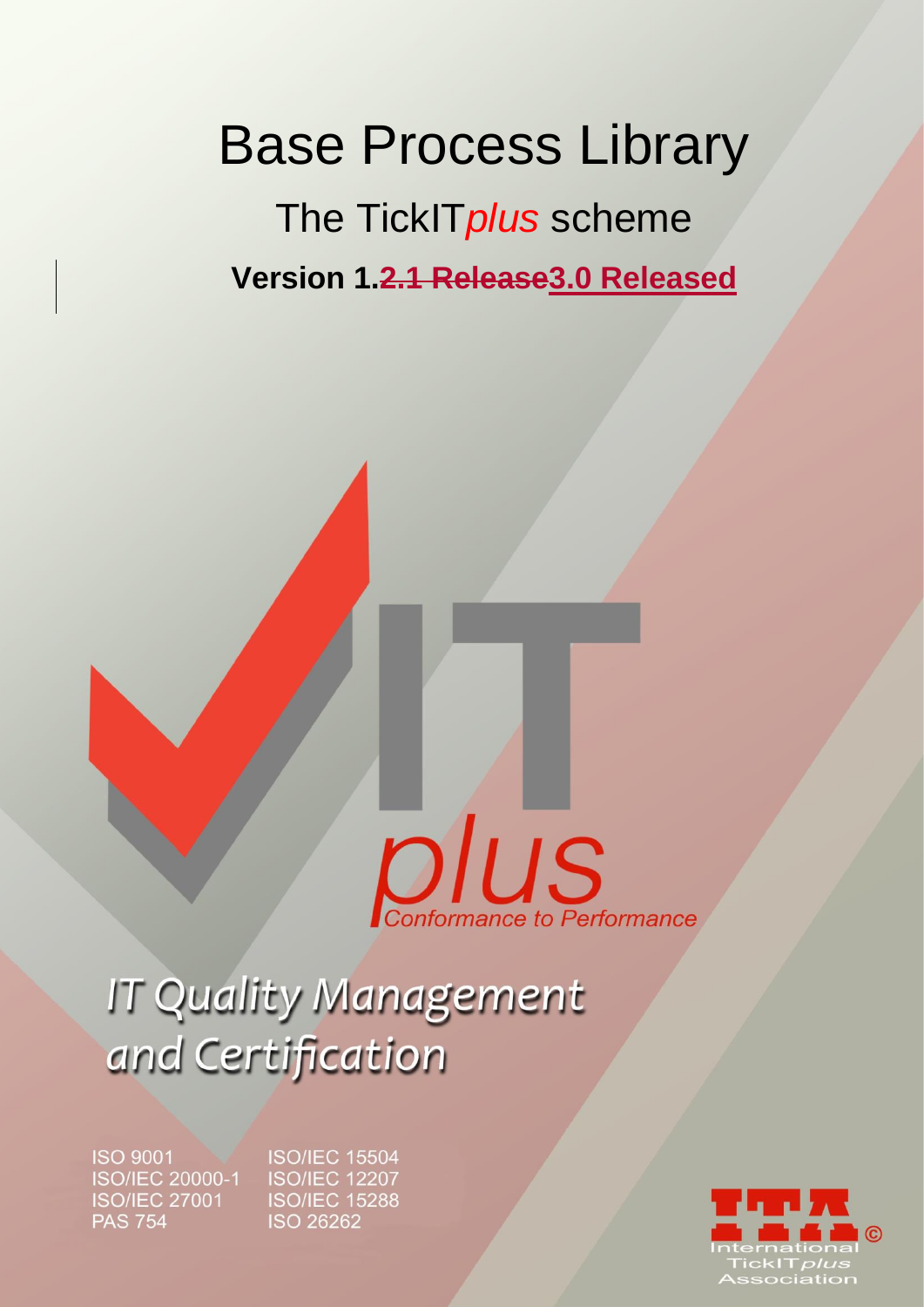# Base Process Library

The TickIT*plus* scheme **Version 1.2.1 Release3.0 Released**



**IT Quality Management** and Certification

**ISO 9001 ISO/IEC 20000-1 ISO/IEC 27001 PAS 754** 

**ISO/IEC 15504 ISO/IEC 12207 ISO/IEC 15288 ISO 26262** 

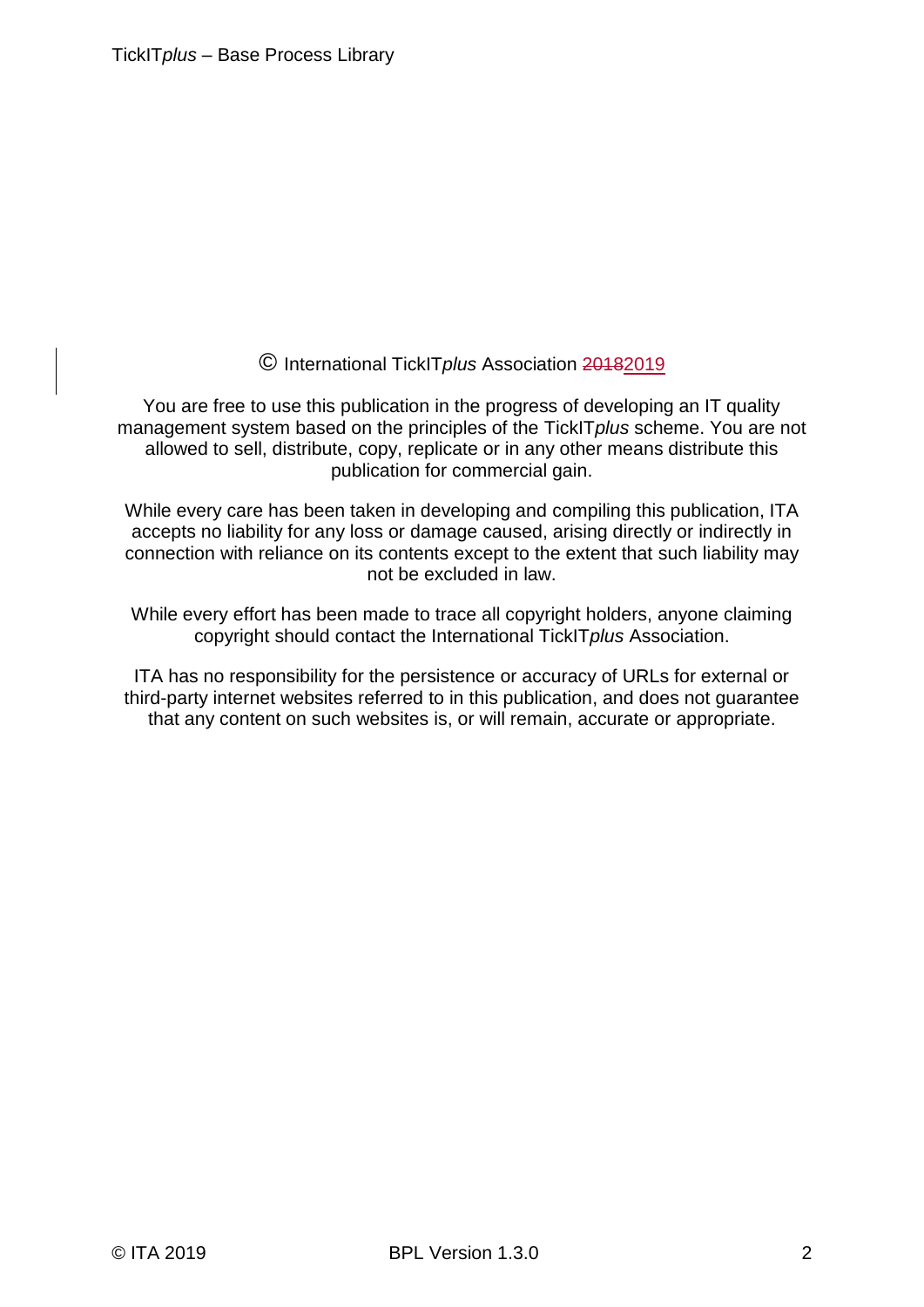#### © International TickIT*plus* Association 20182019

You are free to use this publication in the progress of developing an IT quality management system based on the principles of the TickIT*plus* scheme. You are not allowed to sell, distribute, copy, replicate or in any other means distribute this publication for commercial gain.

While every care has been taken in developing and compiling this publication, ITA accepts no liability for any loss or damage caused, arising directly or indirectly in connection with reliance on its contents except to the extent that such liability may not be excluded in law.

While every effort has been made to trace all copyright holders, anyone claiming copyright should contact the International TickIT*plus* Association.

ITA has no responsibility for the persistence or accuracy of URLs for external or third-party internet websites referred to in this publication, and does not guarantee that any content on such websites is, or will remain, accurate or appropriate.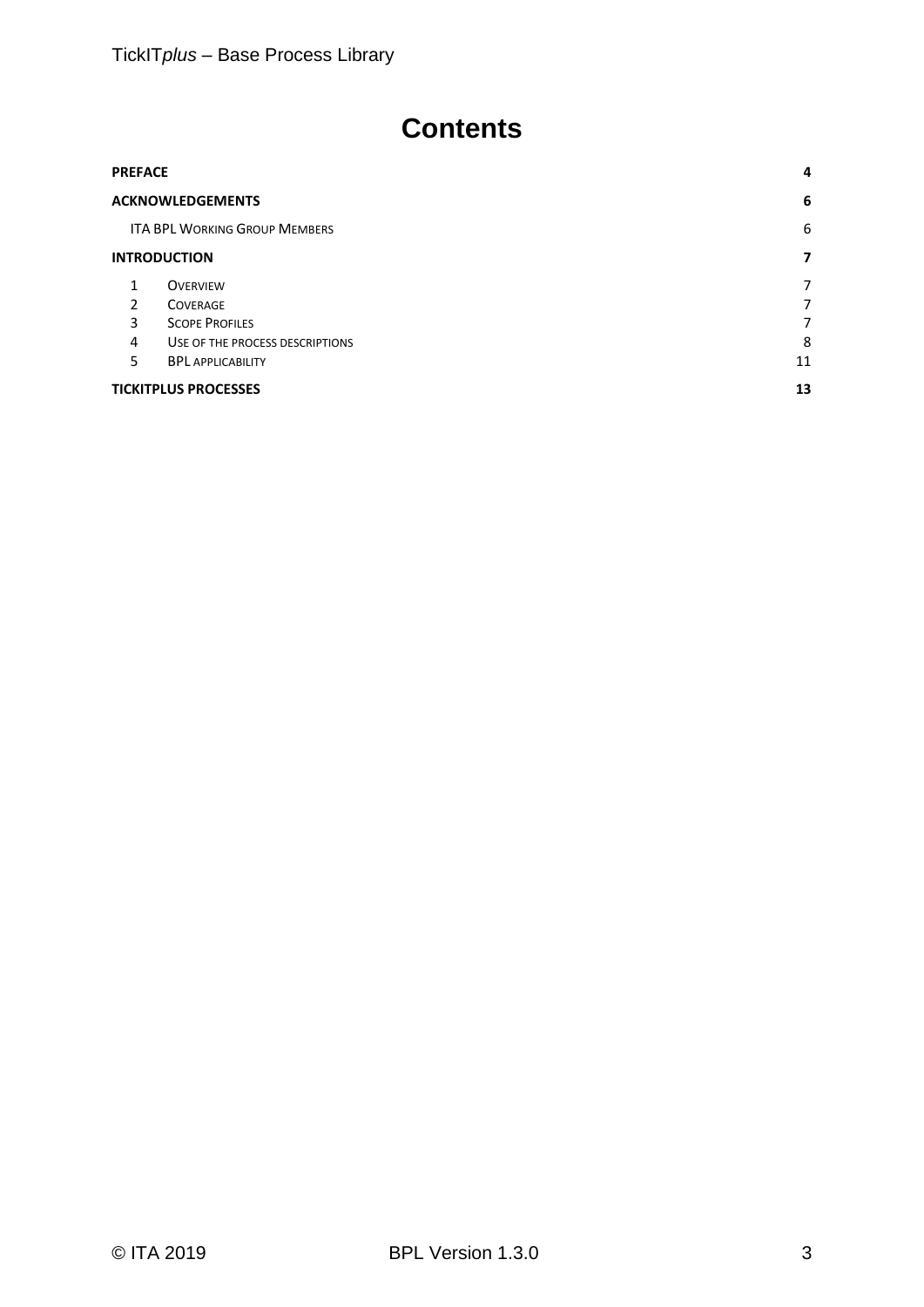## **Contents**

| <b>PREFACE</b> |                                      | 4              |
|----------------|--------------------------------------|----------------|
|                | <b>ACKNOWLEDGEMENTS</b>              | 6              |
|                | <b>ITA BPL WORKING GROUP MEMBERS</b> | 6              |
|                | <b>INTRODUCTION</b>                  | 7              |
| 1              | <b>OVERVIEW</b>                      | $\overline{7}$ |
| $\mathfrak z$  | <b>COVERAGE</b>                      | $\overline{7}$ |
| 3              | <b>SCOPE PROFILES</b>                | $\overline{7}$ |
| 4              | USE OF THE PROCESS DESCRIPTIONS      | 8              |
| 5              | <b>BPL APPLICABILITY</b>             | 11             |
|                | <b>TICKITPLUS PROCESSES</b>          | 13             |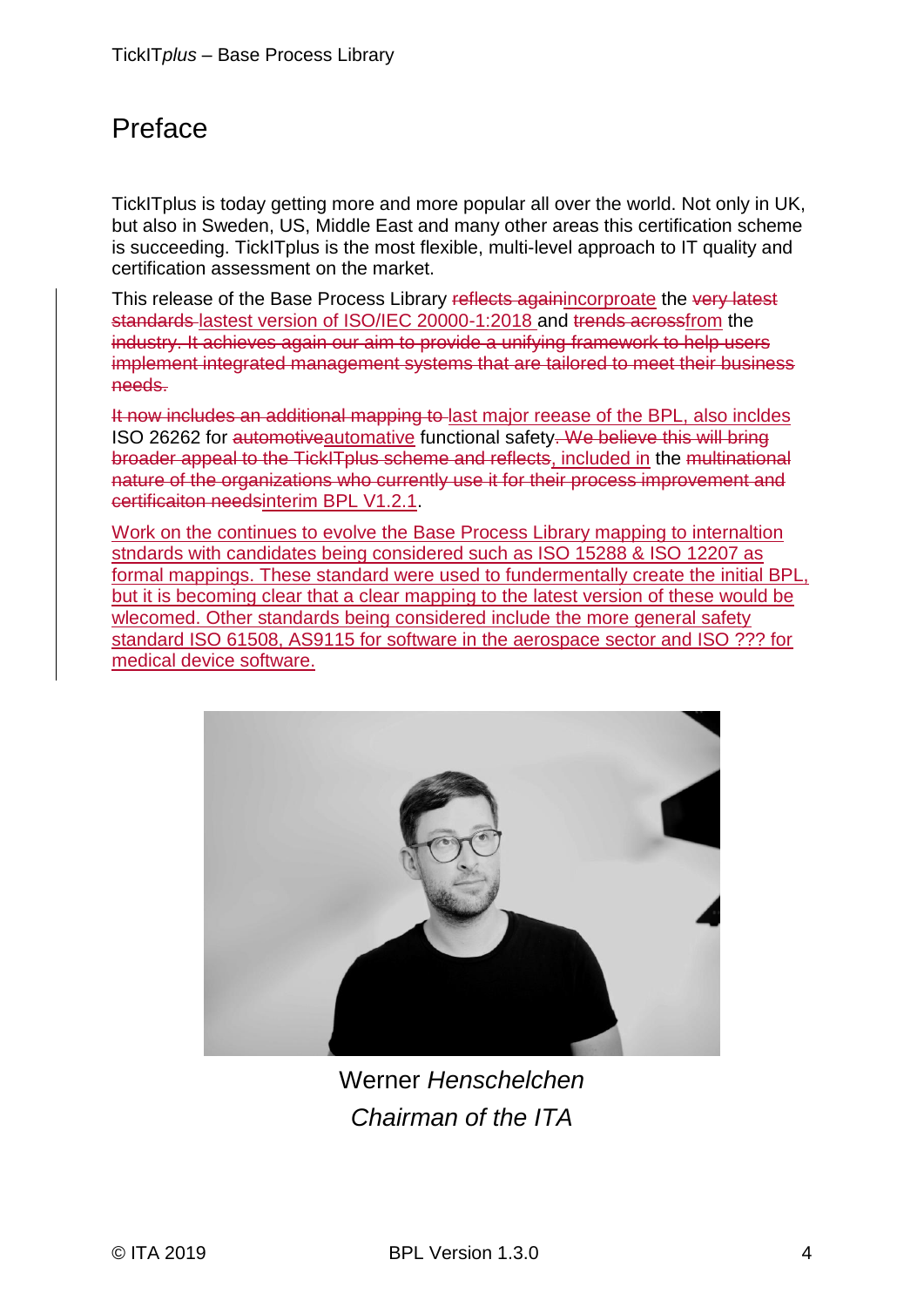### <span id="page-3-0"></span>Preface

TickITplus is today getting more and more popular all over the world. Not only in UK, but also in Sweden, US, Middle East and many other areas this certification scheme is succeeding. TickITplus is the most flexible, multi-level approach to IT quality and certification assessment on the market.

This release of the Base Process Library reflects againincorproate the very latest standards lastest version of ISO/IEC 20000-1:2018 and trends acrossfrom the industry. It achieves again our aim to provide a unifying framework to help users implement integrated management systems that are tailored to meet their business needs.

It now includes an additional mapping to last major reease of the BPL, also incldes ISO 26262 for automotiveautomative functional safety. We believe this will bring broader appeal to the TickITplus scheme and reflects, included in the multinational nature of the organizations who currently use it for their process improvement and certificaiton needsinterim BPL V1.2.1.

Work on the continues to evolve the Base Process Library mapping to internaltion stndards with candidates being considered such as ISO 15288 & ISO 12207 as formal mappings. These standard were used to fundermentally create the initial BPL, but it is becoming clear that a clear mapping to the latest version of these would be wlecomed. Other standards being considered include the more general safety standard ISO 61508, AS9115 for software in the aerospace sector and ISO ??? for medical device software.



Werner *Henschelchen Chairman of the ITA*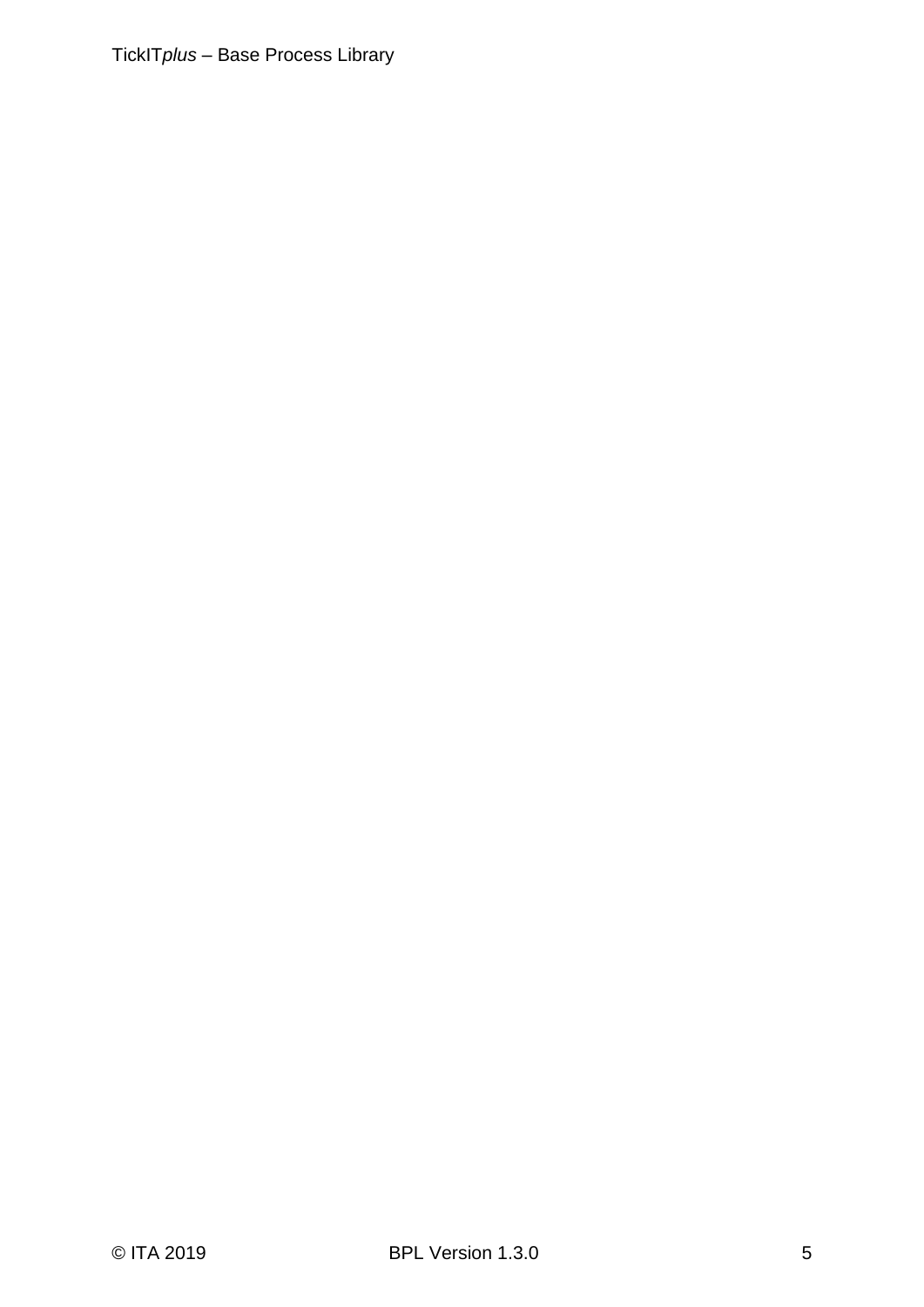TickIT*plus* – Base Process Library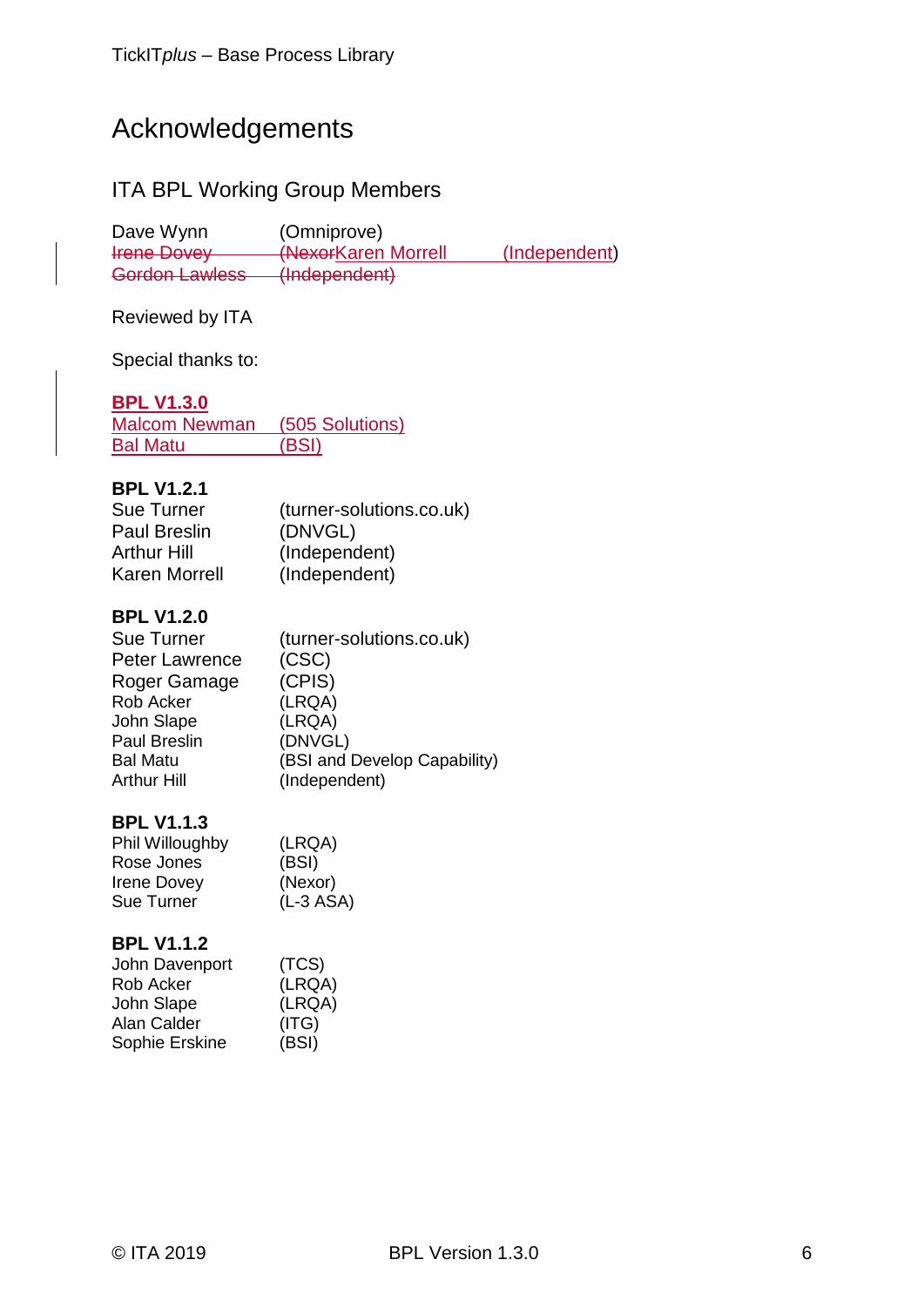### <span id="page-5-0"></span>Acknowledgements

#### <span id="page-5-1"></span>ITA BPL Working Group Members

Dave Wynn (Omniprove) Irene Dovey (NexorKaren Morrell (Independent) Gordon Lawless (Independent)

Reviewed by ITA

Special thanks to:

**BPL V1.3.0** Malcom Newman (505 Solutions) Bal Matu (BSI)

#### **BPL V1.2.1**

| <b>Sue Turner</b>   | (turner-solutions.co.uk) |
|---------------------|--------------------------|
| <b>Paul Breslin</b> | (DNVGL)                  |
| <b>Arthur Hill</b>  | (Independent)            |
| Karen Morrell       | (Independent)            |

#### **BPL V1.2.0**

| <b>Sue Turner</b>     | (turner-solutions.co.uk)     |
|-----------------------|------------------------------|
| <b>Peter Lawrence</b> | (CSC)                        |
| Roger Gamage          | (CPIS)                       |
| Rob Acker             | (LRQA)                       |
| John Slape            | (LRQA)                       |
| Paul Breslin          | (DNVGL)                      |
| <b>Bal Matu</b>       | (BSI and Develop Capability) |
| <b>Arthur Hill</b>    | (Independent)                |
|                       |                              |

#### **BPL V1.1.3**

| Phil Willoughby    | (LRQA)      |
|--------------------|-------------|
| Rose Jones         | (BSI)       |
| <b>Irene Dovey</b> | (Nexor)     |
| Sue Turner         | $(L-3 ASA)$ |

#### **BPL V1.1.2**

| John Davenport | (TCS)  |
|----------------|--------|
| Rob Acker      | (LRQA) |
| John Slape     | (LRQA) |
| Alan Calder    | (ITG)  |
| Sophie Erskine | (BSI)  |
|                |        |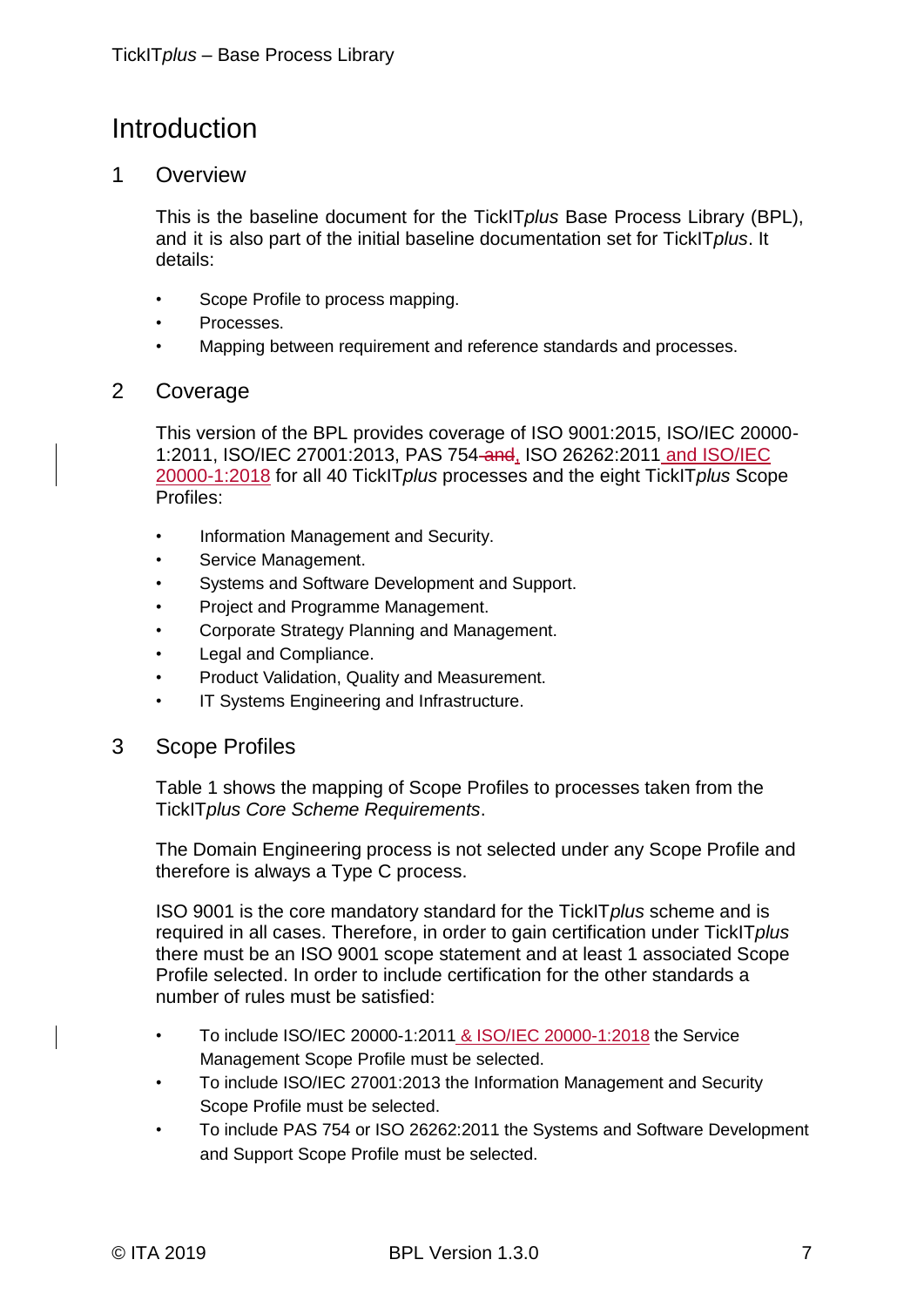### <span id="page-6-0"></span>Introduction

<span id="page-6-1"></span>1 Overview

This is the baseline document for the TickIT*plus* Base Process Library (BPL), and it is also part of the initial baseline documentation set for TickIT*plus*. It details:

- Scope Profile to process mapping.
- Processes.
- Mapping between requirement and reference standards and processes.

#### <span id="page-6-2"></span>2 Coverage

This version of the BPL provides coverage of ISO 9001:2015, ISO/IEC 20000- 1:2011, ISO/IEC 27001:2013, PAS 754 and, ISO 26262:2011 and ISO/IEC 20000-1:2018 for all 40 TickIT*plus* processes and the eight TickIT*plus* Scope Profiles:

- Information Management and Security.
- Service Management.
- Systems and Software Development and Support.
- Project and Programme Management.
- Corporate Strategy Planning and Management.
- Legal and Compliance.
- Product Validation, Quality and Measurement.
- IT Systems Engineering and Infrastructure.

#### <span id="page-6-3"></span>3 Scope Profiles

Table 1 shows the mapping of Scope Profiles to processes taken from the TickIT*plus Core Scheme Requirements*.

The Domain Engineering process is not selected under any Scope Profile and therefore is always a Type C process.

ISO 9001 is the core mandatory standard for the TickIT*plus* scheme and is required in all cases. Therefore, in order to gain certification under TickIT*plus* there must be an ISO 9001 scope statement and at least 1 associated Scope Profile selected. In order to include certification for the other standards a number of rules must be satisfied:

- To include ISO/IEC 20000-1:2011 & ISO/IEC 20000-1:2018 the Service Management Scope Profile must be selected.
- To include ISO/IEC 27001:2013 the Information Management and Security Scope Profile must be selected.
- To include PAS 754 or ISO 26262:2011 the Systems and Software Development and Support Scope Profile must be selected.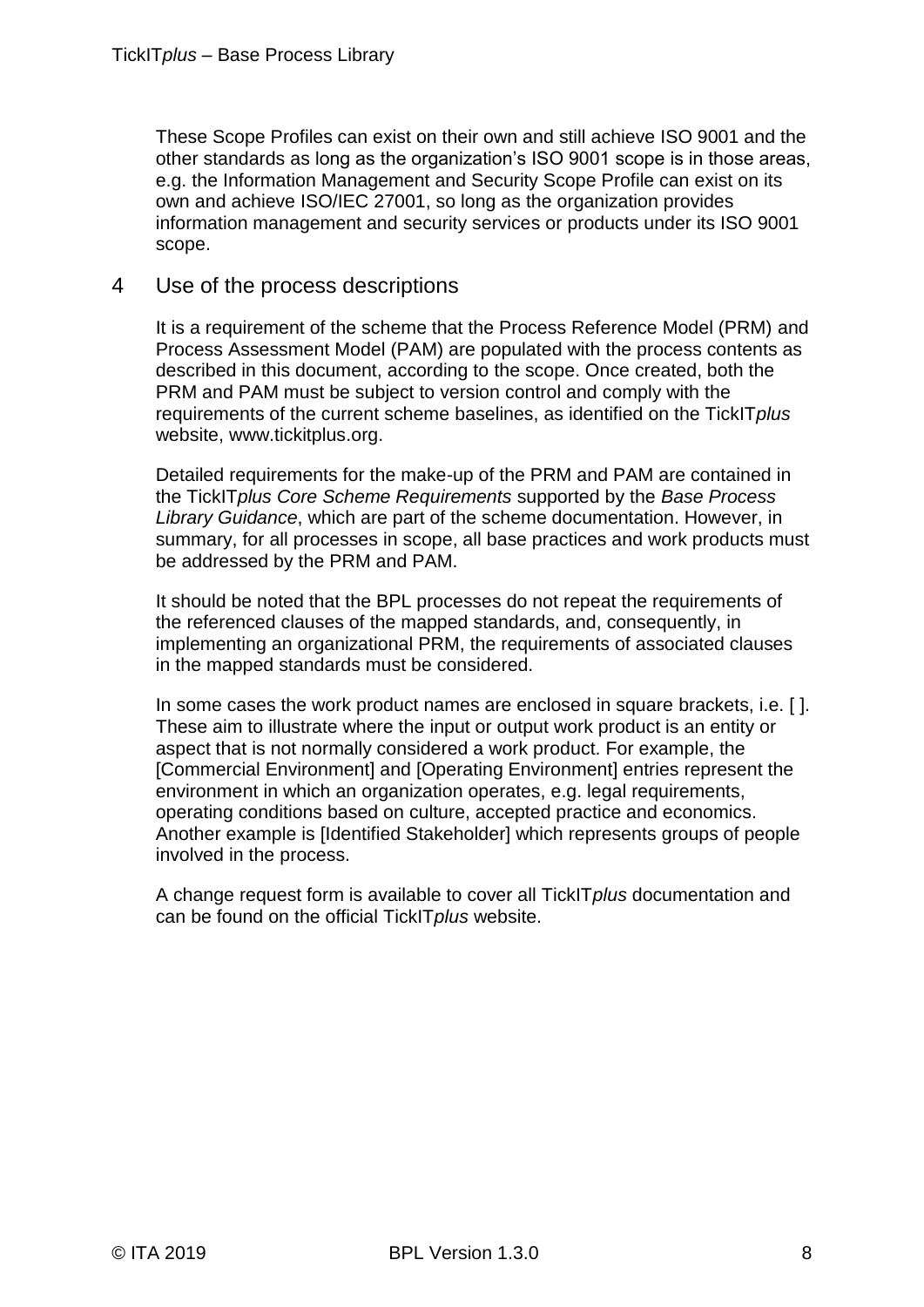These Scope Profiles can exist on their own and still achieve ISO 9001 and the other standards as long as the organization's ISO 9001 scope is in those areas, e.g. the Information Management and Security Scope Profile can exist on its own and achieve ISO/IEC 27001, so long as the organization provides information management and security services or products under its ISO 9001 scope.

#### <span id="page-7-0"></span>4 Use of the process descriptions

It is a requirement of the scheme that the Process Reference Model (PRM) and Process Assessment Model (PAM) are populated with the process contents as described in this document, according to the scope. Once created, both the PRM and PAM must be subject to version control and comply with the requirements of the current scheme baselines, as identified on the TickIT*plus* website, [www.tickitplus.org.](http://www.tickitplus.org/)

Detailed requirements for the make-up of the PRM and PAM are contained in the TickIT*plus Core Scheme Requirements* supported by the *Base Process Library Guidance*, which are part of the scheme documentation. However, in summary, for all processes in scope, all base practices and work products must be addressed by the PRM and PAM.

It should be noted that the BPL processes do not repeat the requirements of the referenced clauses of the mapped standards, and, consequently, in implementing an organizational PRM, the requirements of associated clauses in the mapped standards must be considered.

In some cases the work product names are enclosed in square brackets, i.e. []. These aim to illustrate where the input or output work product is an entity or aspect that is not normally considered a work product. For example, the [Commercial Environment] and [Operating Environment] entries represent the environment in which an organization operates, e.g. legal requirements, operating conditions based on culture, accepted practice and economics. Another example is [Identified Stakeholder] which represents groups of people involved in the process.

A change request form is available to cover all TickIT*plus* documentation and can be found on the official TickIT*plus* website.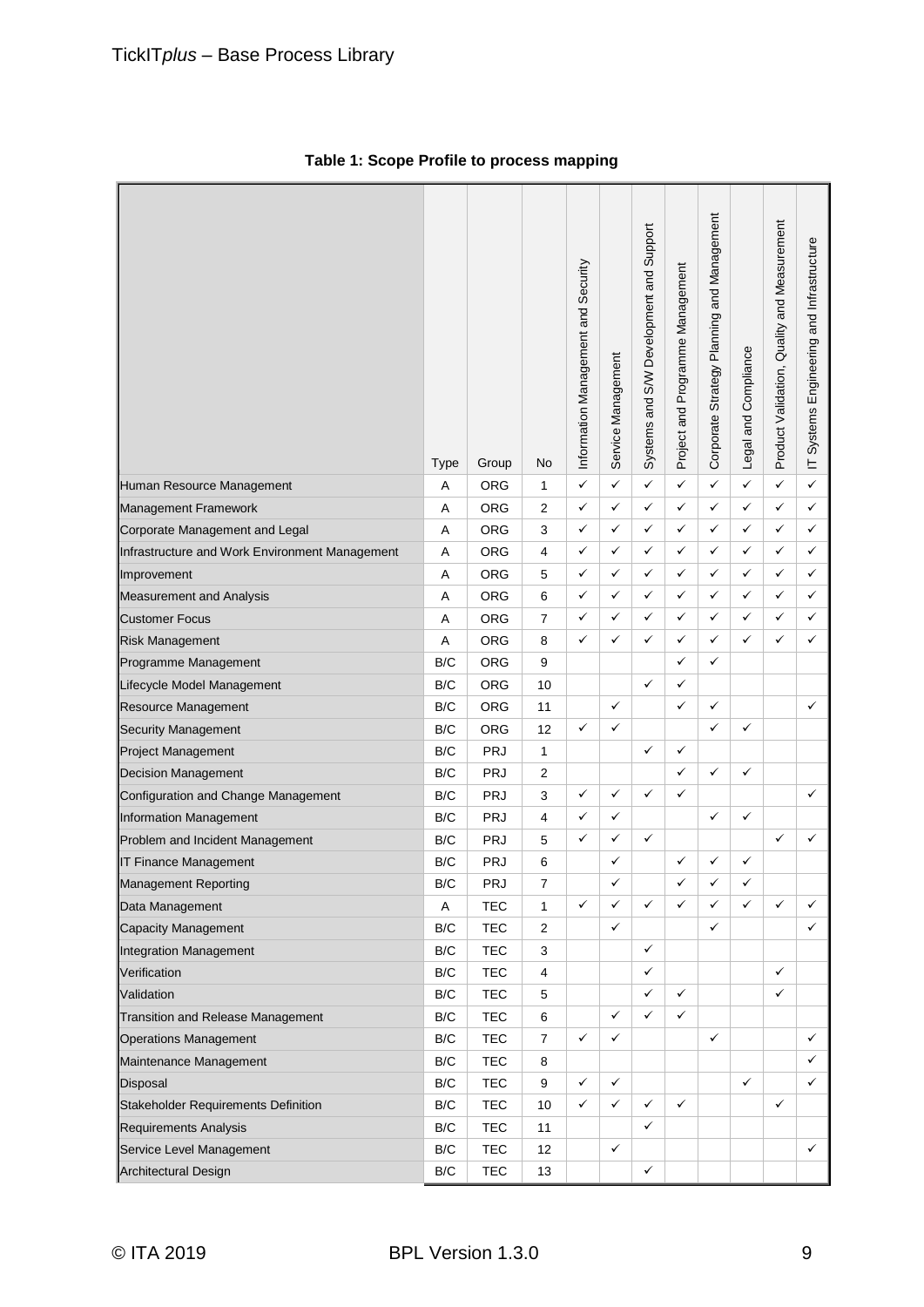|                                                | Type                    | Group      | No             | Information Management and Security | Service Management | Systems and S/W Development and Support | Project and Programme Management | Corporate Strategy Planning and Management | Legal and Compliance | Product Validation, Quality and Measurement | IT Systems Engineering and Infrastructure |
|------------------------------------------------|-------------------------|------------|----------------|-------------------------------------|--------------------|-----------------------------------------|----------------------------------|--------------------------------------------|----------------------|---------------------------------------------|-------------------------------------------|
| Human Resource Management                      | Α                       | ORG        | 1              | $\checkmark$                        | $\checkmark$       | ✓                                       | ✓                                | ✓                                          | $\checkmark$         | $\checkmark$                                | $\checkmark$                              |
| Management Framework                           | Α                       | <b>ORG</b> | $\mathbf{2}$   | $\checkmark$                        | $\checkmark$       | ✓                                       | ✓                                | ✓                                          | ✓                    | $\checkmark$                                | $\checkmark$                              |
| Corporate Management and Legal                 | Α                       | ORG        | 3              | ✓                                   | ✓                  | ✓                                       | ✓                                | ✓                                          | ✓                    | ✓                                           | ✓                                         |
| Infrastructure and Work Environment Management | Α                       | ORG        | 4              | ✓                                   | ✓                  | ✓                                       | ✓                                | ✓                                          | ✓                    | ✓                                           | ✓                                         |
| Improvement                                    | Α                       | ORG        | 5              | ✓                                   | ✓                  | ✓                                       | ✓                                | ✓                                          | ✓                    | ✓                                           | ✓                                         |
| <b>Measurement and Analysis</b>                | Α                       | ORG        | 6              | ✓                                   | ✓                  | ✓                                       | ✓                                | ✓                                          | ✓                    | ✓                                           | ✓                                         |
| <b>Customer Focus</b>                          | A                       | ORG        | $\overline{7}$ | ✓                                   | ✓                  | ✓                                       | ✓                                | ✓                                          | ✓                    | ✓                                           | ✓                                         |
| <b>Risk Management</b>                         | A                       | ORG        | 8              | ✓                                   | $\checkmark$       | ✓                                       | ✓                                | ✓                                          | $\checkmark$         | $\checkmark$                                | $\checkmark$                              |
| Programme Management                           | B/C                     | ORG        | 9              |                                     |                    |                                         | ✓                                | ✓                                          |                      |                                             |                                           |
| Lifecycle Model Management                     | B/C                     | <b>ORG</b> | 10             |                                     |                    | ✓                                       | ✓                                |                                            |                      |                                             |                                           |
| Resource Management                            | B/C                     | ORG        | 11             |                                     | ✓                  |                                         | ✓                                | ✓                                          |                      |                                             | ✓                                         |
| Security Management                            | B/C                     | ORG        | 12             | ✓                                   | ✓                  |                                         |                                  | ✓                                          | ✓                    |                                             |                                           |
| <b>Project Management</b>                      | $\mathsf{B}/\mathsf{C}$ | <b>PRJ</b> | 1              |                                     |                    | ✓                                       | ✓                                |                                            |                      |                                             |                                           |
| <b>Decision Management</b>                     | B/C                     | <b>PRJ</b> | 2              |                                     |                    |                                         | ✓                                | ✓                                          | $\checkmark$         |                                             |                                           |
| Configuration and Change Management            | B/C                     | <b>PRJ</b> | 3              | ✓                                   | ✓                  | ✓                                       | ✓                                |                                            |                      |                                             | ✓                                         |
| <b>Information Management</b>                  | B/C                     | <b>PRJ</b> | 4              | ✓                                   | ✓                  |                                         |                                  | ✓                                          | ✓                    |                                             |                                           |
| Problem and Incident Management                | B/C                     | <b>PRJ</b> | 5              | ✓                                   | ✓                  | ✓                                       |                                  |                                            |                      | ✓                                           | ✓                                         |
| <b>IT Finance Management</b>                   | B/C                     | <b>PRJ</b> | 6              |                                     | ✓                  |                                         | ✓                                | ✓                                          | $\checkmark$         |                                             |                                           |
| Management Reporting                           | B/C                     | PRJ        | 7              |                                     | ✓                  |                                         |                                  |                                            | ✓                    |                                             |                                           |
| Data Management                                | Α                       | <b>TEC</b> | 1              | ✓                                   | ✓                  | ✓                                       | ✓                                | ✓                                          | $\checkmark$         | $\checkmark$                                | ✓                                         |
| Capacity Management                            | B/C                     | <b>TEC</b> | $\overline{c}$ |                                     | $\checkmark$       |                                         |                                  | ✓                                          |                      |                                             | ✓                                         |
| Integration Management                         | B/C                     | <b>TEC</b> | 3              |                                     |                    | ✓                                       |                                  |                                            |                      |                                             |                                           |
| Verification                                   | B/C                     | <b>TEC</b> | 4              |                                     |                    | ✓                                       |                                  |                                            |                      | $\checkmark$                                |                                           |
| Validation                                     | B/C                     | <b>TEC</b> | 5              |                                     |                    | ✓                                       | ✓                                |                                            |                      | ✓                                           |                                           |
| Transition and Release Management              | B/C                     | <b>TEC</b> | 6              |                                     | ✓                  | ✓                                       | ✓                                |                                            |                      |                                             |                                           |
| <b>Operations Management</b>                   | B/C                     | <b>TEC</b> | 7              | $\checkmark$                        | $\checkmark$       |                                         |                                  | ✓                                          |                      |                                             | ✓                                         |
| Maintenance Management                         | B/C                     | <b>TEC</b> | 8              |                                     |                    |                                         |                                  |                                            |                      |                                             | ✓                                         |
| Disposal                                       | B/C                     | <b>TEC</b> | 9              | ✓                                   | ✓                  |                                         |                                  |                                            | $\checkmark$         |                                             | ✓                                         |
| Stakeholder Requirements Definition            | B/C                     | <b>TEC</b> | 10             | ✓                                   | $\checkmark$       | $\checkmark$                            | ✓                                |                                            |                      | ✓                                           |                                           |
| <b>Requirements Analysis</b>                   | B/C                     | <b>TEC</b> | 11             |                                     |                    | ✓                                       |                                  |                                            |                      |                                             |                                           |
| Service Level Management                       | B/C                     | <b>TEC</b> | 12             |                                     | $\checkmark$       |                                         |                                  |                                            |                      |                                             | ✓                                         |
| Architectural Design                           | B/C                     | <b>TEC</b> | 13             |                                     |                    | ✓                                       |                                  |                                            |                      |                                             |                                           |

#### **Table 1: Scope Profile to process mapping**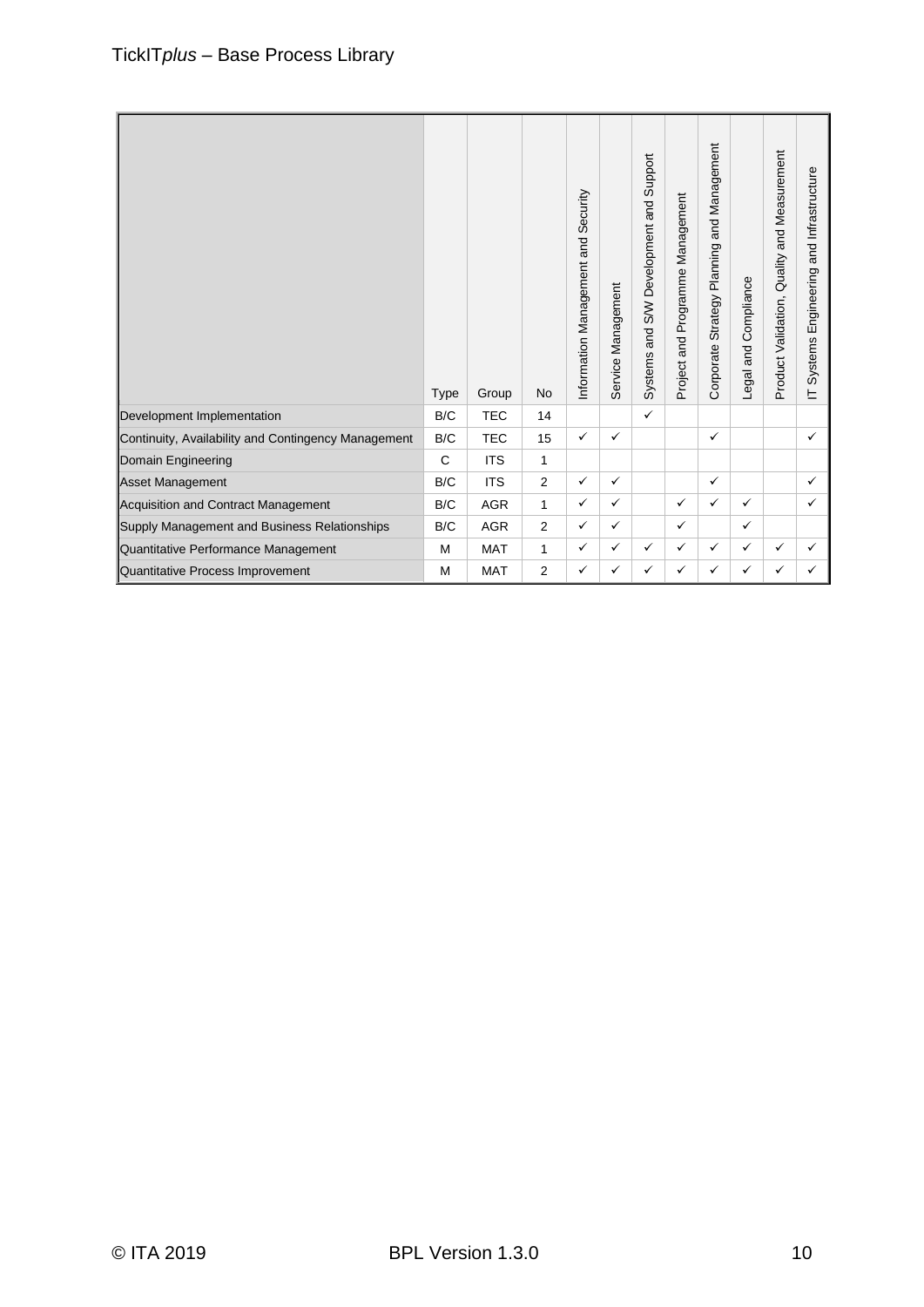|                                                     | Type                    | Group      | <b>No</b>    | Security<br>Information Management and | Service Management | and S/W Development and Support<br>Systems | Programme Management<br>Project and | Strategy Planning and Management<br>Corporate | Legal and Compliance | Quality and Measurement<br>Product Validation, | Systems Engineering and Infrastructure<br>E |
|-----------------------------------------------------|-------------------------|------------|--------------|----------------------------------------|--------------------|--------------------------------------------|-------------------------------------|-----------------------------------------------|----------------------|------------------------------------------------|---------------------------------------------|
| Development Implementation                          | B/C                     | <b>TEC</b> | 14           |                                        |                    | $\checkmark$                               |                                     |                                               |                      |                                                |                                             |
| Continuity, Availability and Contingency Management | $\mathsf{B}/\mathsf{C}$ | <b>TEC</b> | 15           | $\checkmark$                           | ✓                  |                                            |                                     | $\checkmark$                                  |                      |                                                | ✓                                           |
| Domain Engineering                                  | C                       | <b>ITS</b> | 1            |                                        |                    |                                            |                                     |                                               |                      |                                                |                                             |
| <b>Asset Management</b>                             | $\mathsf{B}/\mathsf{C}$ | <b>ITS</b> | 2            | $\checkmark$                           | ✓                  |                                            |                                     | $\checkmark$                                  |                      |                                                | ✓                                           |
| Acquisition and Contract Management                 | B/C                     | AGR        | $\mathbf{1}$ | $\checkmark$                           | ✓                  |                                            | $\checkmark$                        | $\checkmark$                                  | $\checkmark$         |                                                | $\checkmark$                                |
| Supply Management and Business Relationships        | B/C                     | <b>AGR</b> | 2            | $\checkmark$                           | $\checkmark$       |                                            | ✓                                   |                                               | $\checkmark$         |                                                |                                             |
| Quantitative Performance Management                 | M                       | <b>MAT</b> | $\mathbf{1}$ | $\checkmark$                           | ✓                  | $\checkmark$                               | ✓                                   | ✓                                             | ✓                    | $\checkmark$                                   | ✓                                           |
| Quantitative Process Improvement                    | M                       | <b>MAT</b> | 2            | $\checkmark$                           | ✓                  | ✓                                          | ✓                                   | ✓                                             | ✓                    | ✓                                              | ✓                                           |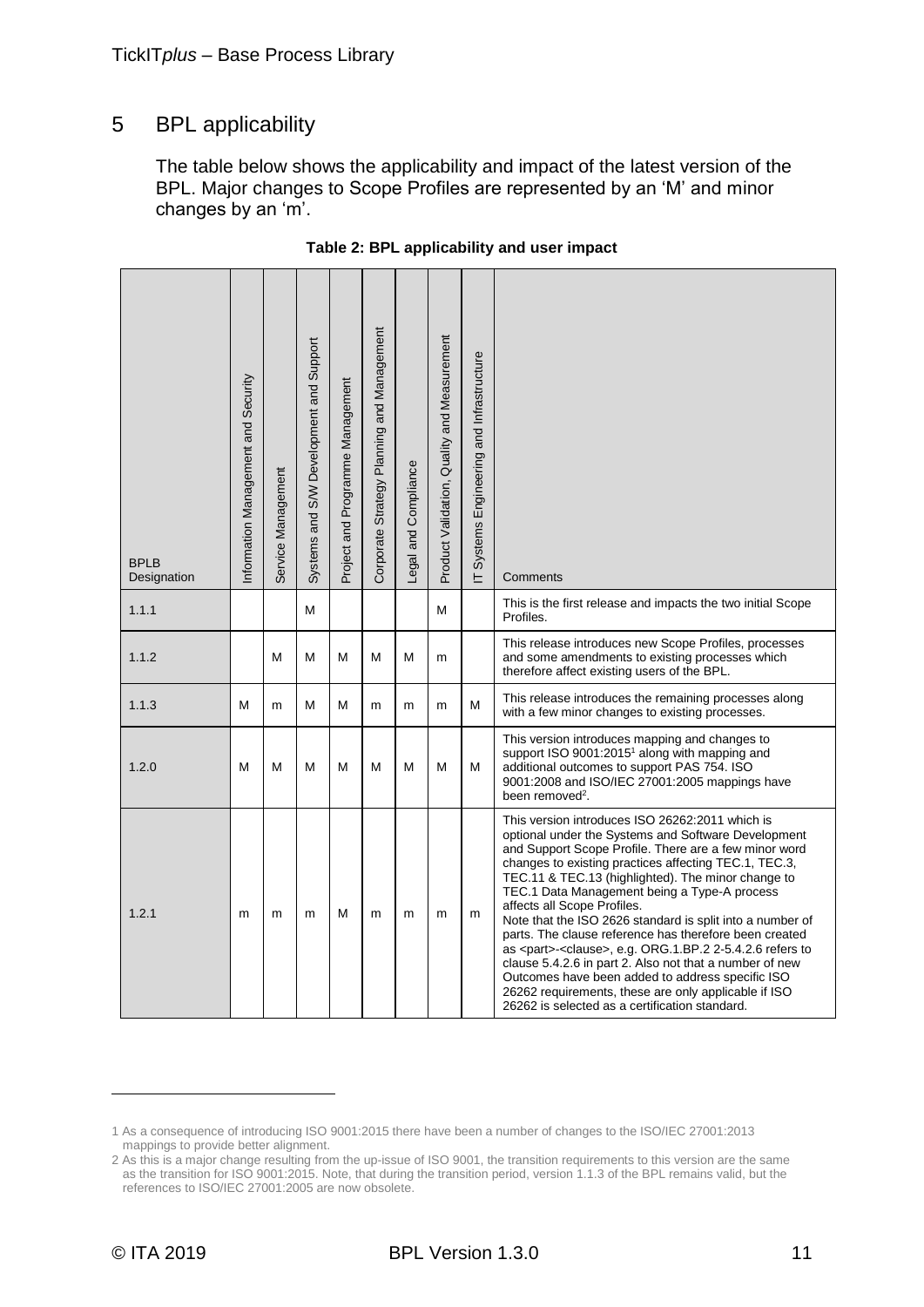#### <span id="page-10-0"></span>5 BPL applicability

The table below shows the applicability and impact of the latest version of the BPL. Major changes to Scope Profiles are represented by an 'M' and minor changes by an 'm'.

| <b>BPLB</b><br>Designation | nformation Management and Security | Service Management | Systems and S/W Development and Support | Project and Programme Management | Corporate Strategy Planning and Management | Legal and Compliance | Product Validation, Quality and Measurement | Systems Engineering and Infrastructure<br>Н | Comments                                                                                                                                                                                                                                                                                                                                                                                                                                                                                                                                                                                                                                                                                                                                                                                     |
|----------------------------|------------------------------------|--------------------|-----------------------------------------|----------------------------------|--------------------------------------------|----------------------|---------------------------------------------|---------------------------------------------|----------------------------------------------------------------------------------------------------------------------------------------------------------------------------------------------------------------------------------------------------------------------------------------------------------------------------------------------------------------------------------------------------------------------------------------------------------------------------------------------------------------------------------------------------------------------------------------------------------------------------------------------------------------------------------------------------------------------------------------------------------------------------------------------|
| 1.1.1                      |                                    |                    | м                                       |                                  |                                            |                      | M                                           |                                             | This is the first release and impacts the two initial Scope<br>Profiles.                                                                                                                                                                                                                                                                                                                                                                                                                                                                                                                                                                                                                                                                                                                     |
| 1.1.2                      |                                    | М                  | М                                       | M                                | М                                          | М                    | m                                           |                                             | This release introduces new Scope Profiles, processes<br>and some amendments to existing processes which<br>therefore affect existing users of the BPL.                                                                                                                                                                                                                                                                                                                                                                                                                                                                                                                                                                                                                                      |
| 1.1.3                      | М                                  | m                  | м                                       | M                                | m                                          | m                    | m                                           | М                                           | This release introduces the remaining processes along<br>with a few minor changes to existing processes.                                                                                                                                                                                                                                                                                                                                                                                                                                                                                                                                                                                                                                                                                     |
| 1.2.0                      | M                                  | M                  | M                                       | M                                | M                                          | М                    | M                                           | M                                           | This version introduces mapping and changes to<br>support ISO 9001:2015 <sup>1</sup> along with mapping and<br>additional outcomes to support PAS 754. ISO<br>9001:2008 and ISO/IEC 27001:2005 mappings have<br>been removed <sup>2</sup> .                                                                                                                                                                                                                                                                                                                                                                                                                                                                                                                                                  |
| 1.2.1                      | m                                  | m                  | m                                       | M                                | m                                          | m                    | m                                           | m                                           | This version introduces ISO 26262:2011 which is<br>optional under the Systems and Software Development<br>and Support Scope Profile. There are a few minor word<br>changes to existing practices affecting TEC.1, TEC.3,<br>TEC.11 & TEC.13 (highlighted). The minor change to<br>TEC.1 Data Management being a Type-A process<br>affects all Scope Profiles.<br>Note that the ISO 2626 standard is split into a number of<br>parts. The clause reference has therefore been created<br>as <part>-<clause>, e.g. ORG.1.BP.2 2-5.4.2.6 refers to<br/>clause 5.4.2.6 in part 2. Also not that a number of new<br/>Outcomes have been added to address specific ISO<br/>26262 requirements, these are only applicable if ISO<br/>26262 is selected as a certification standard.</clause></part> |

|  |  |  |  | Table 2: BPL applicability and user impact |  |  |  |
|--|--|--|--|--------------------------------------------|--|--|--|
|--|--|--|--|--------------------------------------------|--|--|--|

1

<sup>1</sup> As a consequence of introducing ISO 9001:2015 there have been a number of changes to the ISO/IEC 27001:2013 mappings to provide better alignment.

<sup>2</sup> As this is a major change resulting from the up-issue of ISO 9001, the transition requirements to this version are the same as the transition for ISO 9001:2015. Note, that during the transition period, version 1.1.3 of the BPL remains valid, but the references to ISO/IEC 27001:2005 are now obsolete.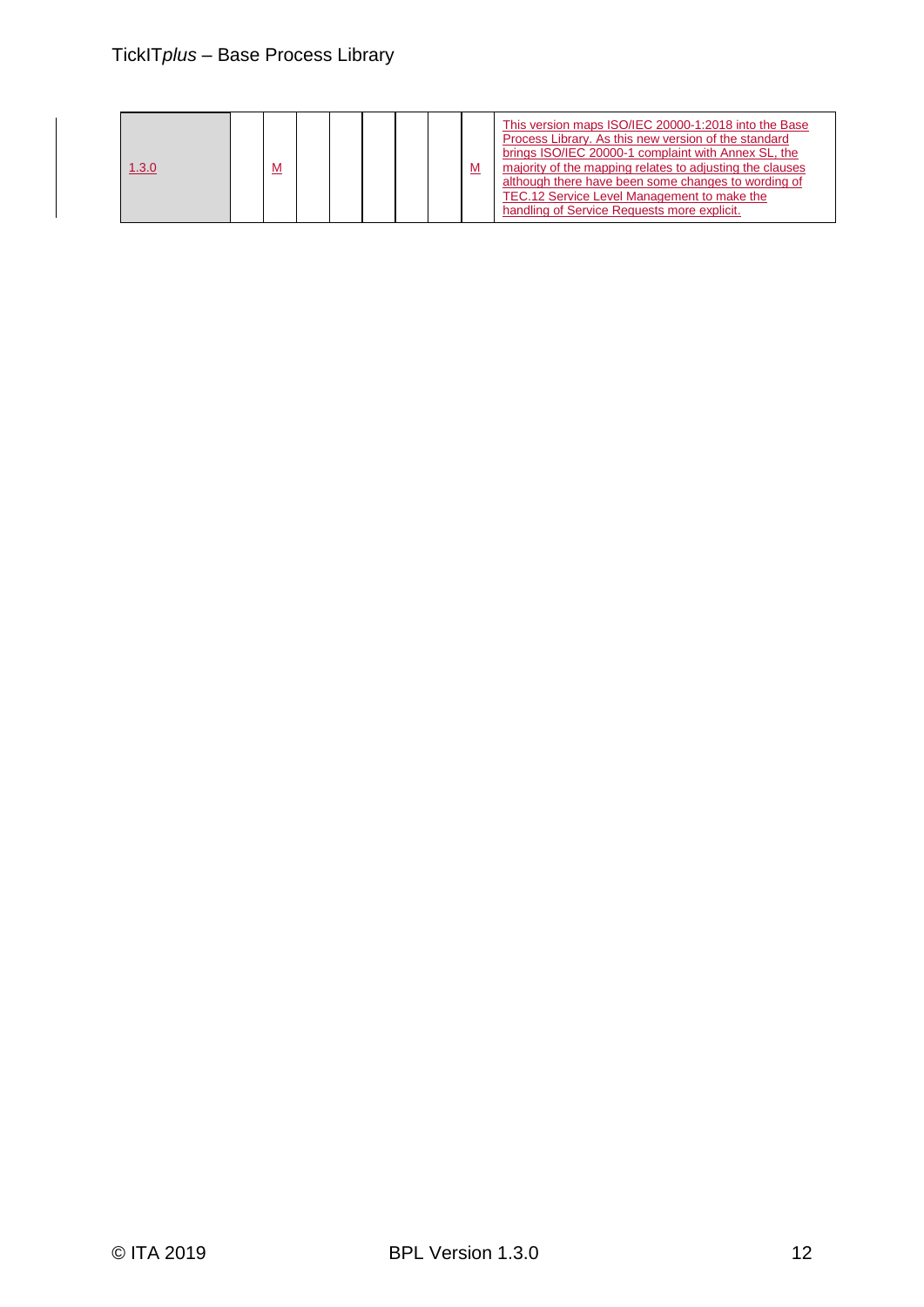| 1.3.0 | M |  |  |  |  | M | This version maps ISO/IEC 20000-1:2018 into the Base<br>Process Library. As this new version of the standard<br>brings ISO/IEC 20000-1 complaint with Annex SL, the<br>majority of the mapping relates to adjusting the clauses<br>although there have been some changes to wording of<br>TEC.12 Service Level Management to make the<br>handling of Service Requests more explicit. |
|-------|---|--|--|--|--|---|--------------------------------------------------------------------------------------------------------------------------------------------------------------------------------------------------------------------------------------------------------------------------------------------------------------------------------------------------------------------------------------|
|-------|---|--|--|--|--|---|--------------------------------------------------------------------------------------------------------------------------------------------------------------------------------------------------------------------------------------------------------------------------------------------------------------------------------------------------------------------------------------|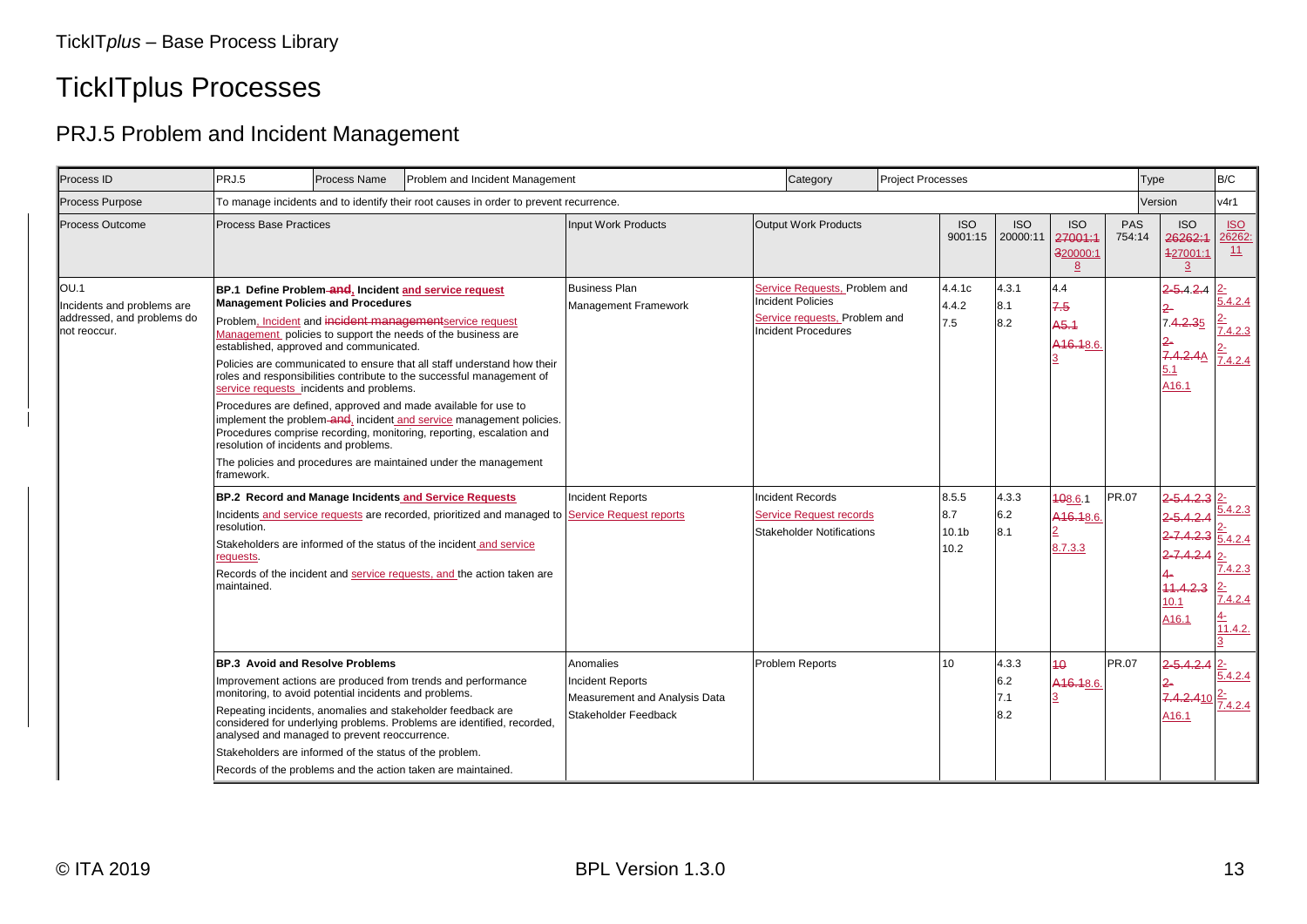# TickITplus Processes

### PRJ.5 Problem and Incident Management

<span id="page-12-0"></span>

| Process ID                                                                              | PRJ.5                                                                                                                                                                                                                              | Process Name | Problem and Incident Management                                                                                                                                                                                                                                                                                                                                                                                                                                                                                                                                                                                                                                                                                                                                                                                                                                                                                                         |                                                                                               | Category                                                                                                                                                                                                                  | <b>Project Processes</b> |                                                                     |                                            |                                                                               | Type          |                                                                                                                                                                                                      | B/C                                                                                                                                            |
|-----------------------------------------------------------------------------------------|------------------------------------------------------------------------------------------------------------------------------------------------------------------------------------------------------------------------------------|--------------|-----------------------------------------------------------------------------------------------------------------------------------------------------------------------------------------------------------------------------------------------------------------------------------------------------------------------------------------------------------------------------------------------------------------------------------------------------------------------------------------------------------------------------------------------------------------------------------------------------------------------------------------------------------------------------------------------------------------------------------------------------------------------------------------------------------------------------------------------------------------------------------------------------------------------------------------|-----------------------------------------------------------------------------------------------|---------------------------------------------------------------------------------------------------------------------------------------------------------------------------------------------------------------------------|--------------------------|---------------------------------------------------------------------|--------------------------------------------|-------------------------------------------------------------------------------|---------------|------------------------------------------------------------------------------------------------------------------------------------------------------------------------------------------------------|------------------------------------------------------------------------------------------------------------------------------------------------|
| Process Purpose                                                                         |                                                                                                                                                                                                                                    |              | To manage incidents and to identify their root causes in order to prevent recurrence.                                                                                                                                                                                                                                                                                                                                                                                                                                                                                                                                                                                                                                                                                                                                                                                                                                                   |                                                                                               |                                                                                                                                                                                                                           |                          |                                                                     |                                            |                                                                               |               | Version                                                                                                                                                                                              | v4r1                                                                                                                                           |
| Process Outcome                                                                         | <b>Process Base Practices</b>                                                                                                                                                                                                      |              |                                                                                                                                                                                                                                                                                                                                                                                                                                                                                                                                                                                                                                                                                                                                                                                                                                                                                                                                         | Input Work Products                                                                           | Output Work Products                                                                                                                                                                                                      |                          | <b>ISO</b><br>9001:15                                               | <b>ISO</b><br>20000:11                     | <b>ISO</b><br>27001:1<br>320000:1<br>8                                        | PAS<br>754:14 | <b>ISO</b><br>26262:1<br>427001:1<br>$\overline{3}$                                                                                                                                                  | <b>ISO</b><br>26262:<br>11                                                                                                                     |
| <b>OU.1</b><br>Incidents and problems are<br>addressed, and problems do<br>not reoccur. | <b>Management Policies and Procedures</b><br>established, approved and communicated.<br>service requests incidents and problems.<br>resolution of incidents and problems.<br>framework.<br>resolution.<br>requests.<br>maintained. |              | BP.1 Define Problem and, Incident and service request<br>Problem, Incident and incident managementservice request<br>Management policies to support the needs of the business are<br>Policies are communicated to ensure that all staff understand how their<br>roles and responsibilities contribute to the successful management of<br>Procedures are defined, approved and made available for use to<br>implement the problem-and, incident and service management policies.<br>Procedures comprise recording, monitoring, reporting, escalation and<br>The policies and procedures are maintained under the management<br>BP.2 Record and Manage Incidents and Service Requests<br>Incidents and service requests are recorded, prioritized and managed to Service Request reports<br>Stakeholders are informed of the status of the incident and service<br>Records of the incident and service requests, and the action taken are | <b>Business Plan</b><br>Management Framework<br><b>Incident Reports</b>                       | Service Requests, Problem and<br><b>Incident Policies</b><br>Service requests, Problem and<br><b>Incident Procedures</b><br><b>Incident Records</b><br><b>Service Request records</b><br><b>Stakeholder Notifications</b> |                          | 4.4.1c<br>4.4.2<br>7.5<br>8.5.5<br>8.7<br>10.1 <sub>b</sub><br>10.2 | 4.3.1<br>8.1<br>8.2<br>4.3.3<br>6.2<br>8.1 | 4.4<br>7.5<br>A5.1<br>A <sub>16.18.6</sub><br>108.6.1<br>A16.18.6.<br>8.7.3.3 | PR.07         | $2 - 5.42.4$<br>7.4.2.35<br>7.4.2.4A<br><u>5.1</u><br>A <sub>16.1</sub><br>$2 - 5.4.2.3$ 2-<br>$2 - 5.4.2.4$<br>$2 - 7.4.2.3 \overline{5.4.2.4}$<br>$2 - 7.4.2.4$<br>4-<br>11.4.2.3<br>10.1<br>A16.1 | $\frac{22}{5.4.2.4}$<br>$\overline{7.4.2.3}$<br>$\frac{2}{7.4.2.4}$<br>5.4.2.3<br>$2-$<br>7.4.2.3<br>$\frac{2}{7.4.2.4}$<br>$\frac{4}{11.4.2}$ |
|                                                                                         | <b>BP.3 Avoid and Resolve Problems</b><br>monitoring, to avoid potential incidents and problems.<br>analysed and managed to prevent reoccurrence.<br>Stakeholders are informed of the status of the problem.                       |              | Improvement actions are produced from trends and performance<br>Repeating incidents, anomalies and stakeholder feedback are<br>considered for underlying problems. Problems are identified, recorded,<br>Records of the problems and the action taken are maintained.                                                                                                                                                                                                                                                                                                                                                                                                                                                                                                                                                                                                                                                                   | Anomalies<br><b>Incident Reports</b><br>Measurement and Analysis Data<br>Stakeholder Feedback | Problem Reports                                                                                                                                                                                                           |                          | 10                                                                  | 4.3.3<br>6.2<br>7.1<br>8.2                 | 10<br>A16.18.6.                                                               | PR.07         | $2 - 5.4.2.4$<br>2-<br>$7.4.2.4$ 10 $\frac{2.1}{7.4.2.4}$<br>A16.1                                                                                                                                   | $\frac{2-}{5.4.2.4}$                                                                                                                           |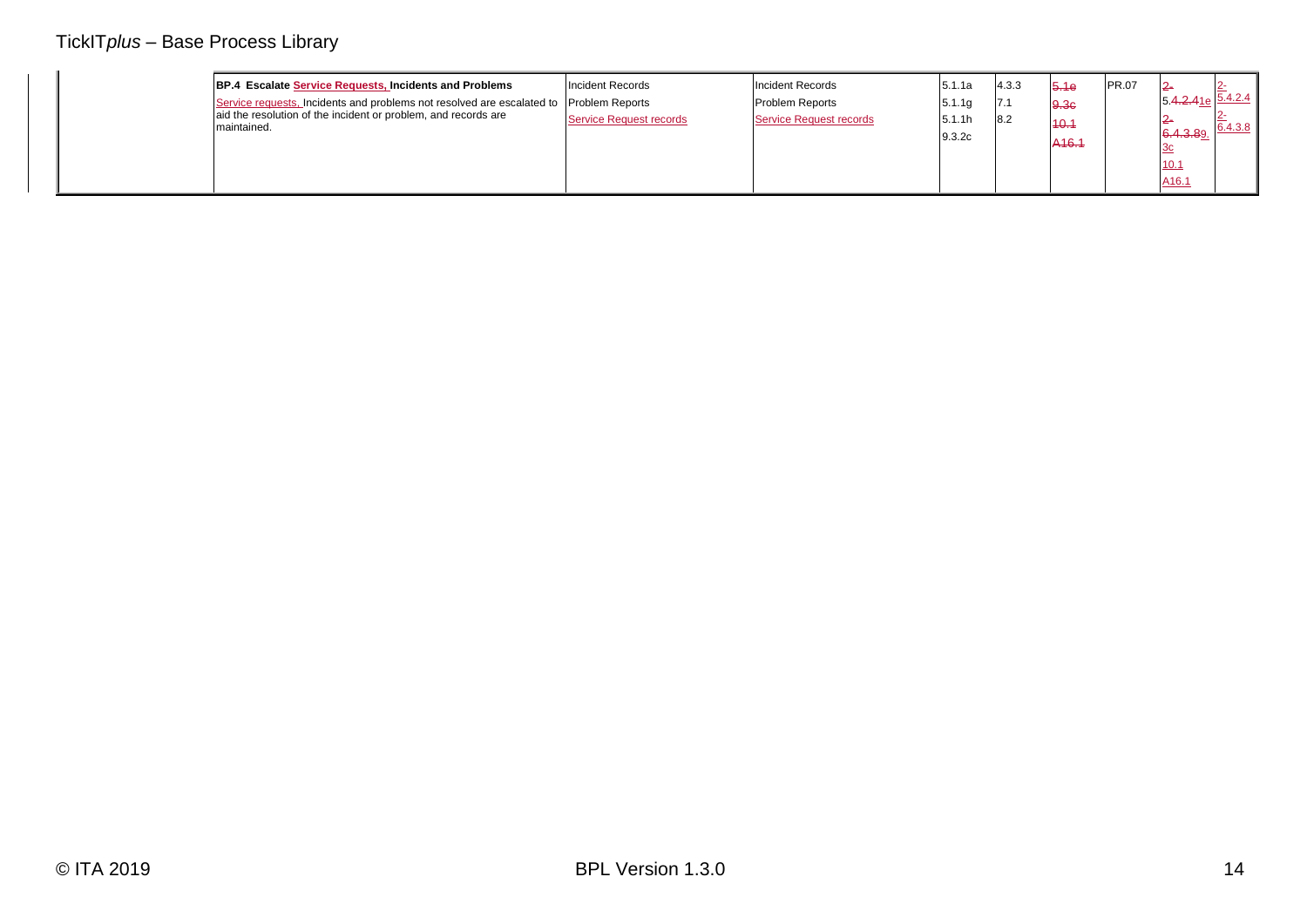### TickIT*plus* – Base Process Library

| BP.4 Escalate Service Requests, Incidents and Problems<br>Service requests, Incidents and problems not resolved are escalated to Problem Reports<br>aid the resolution of the incident or problem, and records are<br>maintained. | Incident Records<br><b>Service Request records</b> | Incident Records<br><b>Problem Reports</b><br><b>Service Request records</b> | 5.1.1a<br>5.1.1q<br>5.1.1h<br>9.3.2c | 4.3.3<br>8.2 | 5.1e<br>9.3 <sub>6</sub><br>40.4<br>A <sub>16.1</sub> | PR.07 | 5.4.2.41e 5.4.2.4<br>6.4.3.89.<br>10.1<br>A16. | 6.4.3.8 |
|-----------------------------------------------------------------------------------------------------------------------------------------------------------------------------------------------------------------------------------|----------------------------------------------------|------------------------------------------------------------------------------|--------------------------------------|--------------|-------------------------------------------------------|-------|------------------------------------------------|---------|
|-----------------------------------------------------------------------------------------------------------------------------------------------------------------------------------------------------------------------------------|----------------------------------------------------|------------------------------------------------------------------------------|--------------------------------------|--------------|-------------------------------------------------------|-------|------------------------------------------------|---------|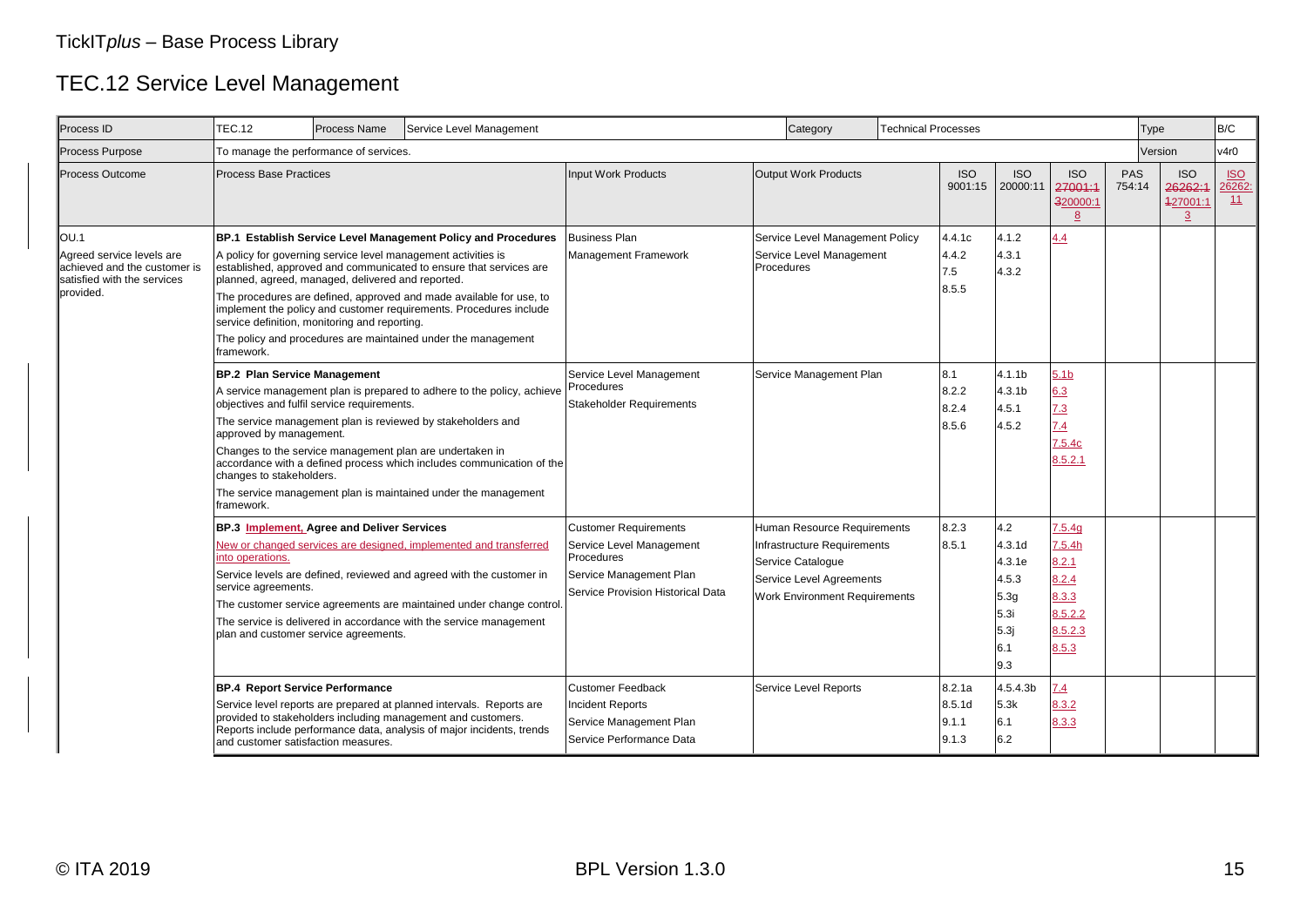### TEC.12 Service Level Management

| Process ID                                                                                                    | <b>TEC.12</b>                                                                                                                                                                                                          | Process Name                                | Service Level Management                                                                                                                                                                                                                                                                                                                                                                                                                                                                                 |                                                                                                                                                                                                                                               |            | Category                                                                                                                                                                     | <b>Technical Processes</b> |                                                      |                                                                                                                                   |                                                                                                     | Type                 |                                                     | B/C                       |  |
|---------------------------------------------------------------------------------------------------------------|------------------------------------------------------------------------------------------------------------------------------------------------------------------------------------------------------------------------|---------------------------------------------|----------------------------------------------------------------------------------------------------------------------------------------------------------------------------------------------------------------------------------------------------------------------------------------------------------------------------------------------------------------------------------------------------------------------------------------------------------------------------------------------------------|-----------------------------------------------------------------------------------------------------------------------------------------------------------------------------------------------------------------------------------------------|------------|------------------------------------------------------------------------------------------------------------------------------------------------------------------------------|----------------------------|------------------------------------------------------|-----------------------------------------------------------------------------------------------------------------------------------|-----------------------------------------------------------------------------------------------------|----------------------|-----------------------------------------------------|---------------------------|--|
| Process Purpose                                                                                               |                                                                                                                                                                                                                        | To manage the performance of services.      |                                                                                                                                                                                                                                                                                                                                                                                                                                                                                                          |                                                                                                                                                                                                                                               |            |                                                                                                                                                                              |                            |                                                      |                                                                                                                                   |                                                                                                     | Version              |                                                     | v4r0                      |  |
| Process Outcome                                                                                               | <b>Process Base Practices</b>                                                                                                                                                                                          |                                             |                                                                                                                                                                                                                                                                                                                                                                                                                                                                                                          | <b>Input Work Products</b>                                                                                                                                                                                                                    |            | Output Work Products                                                                                                                                                         |                            | <b>ISO</b><br>9001:15                                | <b>ISO</b><br>20000:11                                                                                                            | <b>ISO</b><br>27001:1<br>320000:1<br>8                                                              | <b>PAS</b><br>754:14 | <b>ISO</b><br>26262:1<br>427001:1<br>$\overline{3}$ | <b>ISO</b><br>26262<br>11 |  |
| OU.1<br>Agreed service levels are<br>achieved and the customer is<br>satisfied with the services<br>provided. | planned, agreed, managed, delivered and reported.<br>service definition, monitoring and reporting.<br>framework.                                                                                                       |                                             | BP.1 Establish Service Level Management Policy and Procedures<br>A policy for governing service level management activities is<br>established, approved and communicated to ensure that services are<br>The procedures are defined, approved and made available for use, to<br>implement the policy and customer requirements. Procedures include<br>The policy and procedures are maintained under the management                                                                                       | <b>Business Plan</b><br>Management Framework                                                                                                                                                                                                  | Procedures | Service Level Management Policy<br>Service Level Management                                                                                                                  |                            | 4.4.1c<br>4.4.2<br>7.5<br>8.5.5                      | 4.1.2<br>4.3.1<br>4.3.2                                                                                                           | 4.4                                                                                                 |                      |                                                     |                           |  |
|                                                                                                               | <b>BP.2 Plan Service Management</b><br>approved by management.<br>changes to stakeholders.<br>framework.                                                                                                               | objectives and fulfil service requirements. | A service management plan is prepared to adhere to the policy, achieve<br>The service management plan is reviewed by stakeholders and<br>Changes to the service management plan are undertaken in<br>accordance with a defined process which includes communication of the<br>The service management plan is maintained under the management                                                                                                                                                             | Service Level Management<br>Procedures<br><b>Stakeholder Requirements</b>                                                                                                                                                                     |            | Service Management Plan                                                                                                                                                      |                            | 8.1<br>8.2.2<br>8.2.4<br>8.5.6                       | 4.1.1b<br>4.3.1 <sub>b</sub><br>4.5.1<br>4.5.2                                                                                    | 5.1 <sub>b</sub><br>6.3<br>7.3<br>7.4<br>7.5.4c<br>8.5.2.1                                          |                      |                                                     |                           |  |
|                                                                                                               | <b>BP.3 Implement, Agree and Deliver Services</b><br>into operations.<br>service agreements.<br>plan and customer service agreements.<br><b>BP.4 Report Service Performance</b><br>and customer satisfaction measures. |                                             | New or changed services are designed, implemented and transferred<br>Service levels are defined, reviewed and agreed with the customer in<br>The customer service agreements are maintained under change control.<br>The service is delivered in accordance with the service management<br>Service level reports are prepared at planned intervals. Reports are<br>provided to stakeholders including management and customers.<br>Reports include performance data, analysis of major incidents, trends | <b>Customer Requirements</b><br>Service Level Management<br>Procedures<br>Service Management Plan<br>Service Provision Historical Data<br><b>Customer Feedback</b><br>Incident Reports<br>Service Management Plan<br>Service Performance Data |            | Human Resource Requirements<br>Infrastructure Requirements<br>Service Cataloque<br>Service Level Agreements<br><b>Work Environment Requirements</b><br>Service Level Reports |                            | 8.2.3<br>8.5.1<br>8.2.1a<br>8.5.1d<br>9.1.1<br>9.1.3 | 1.2 <sub>1</sub><br>4.3.1 <sub>d</sub><br>4.3.1e<br>4.5.3<br>5.3g<br>5.3i<br>5.3j<br>6.1<br>9.3<br>4.5.4.3b<br>5.3k<br>6.1<br>6.2 | 7.5.4g<br>7.5.4h<br>8.2.1<br>8.2.4<br>8.3.3<br>8.5.2.2<br>8.5.2.3<br>8.5.3<br>7.4<br>8.3.2<br>8.3.3 |                      |                                                     |                           |  |